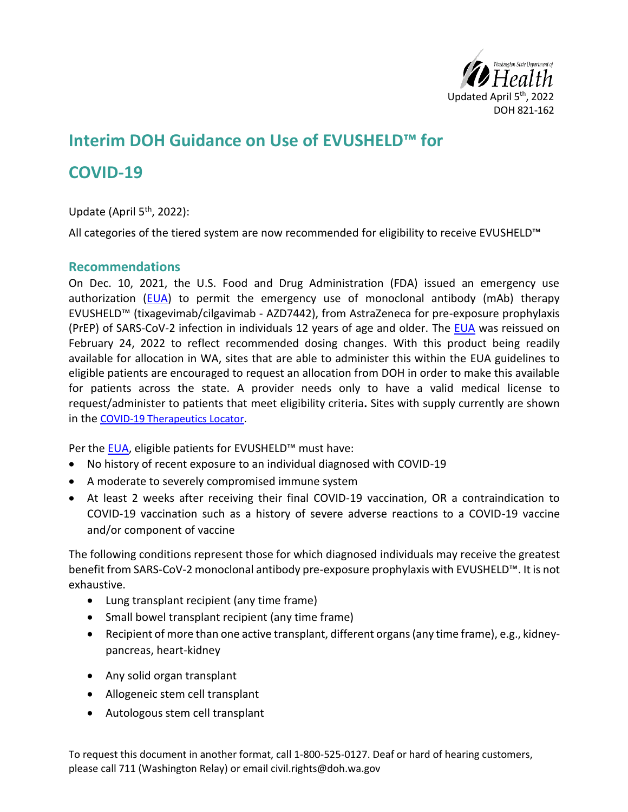

# **Interim DOH Guidance on Use of EVUSHELD™ for**

## **COVID-19**

Update (April 5<sup>th</sup>, 2022):

All categories of the tiered system are now recommended for eligibility to receive EVUSHELD™

#### **Recommendations**

On Dec. 10, 2021, the U.S. Food and Drug Administration (FDA) issued an emergency use authorization  $(EUA)$  to permit the emergency use of monoclonal antibody (mAb) therapy EVUSHELD™ (tixagevimab/cilgavimab - AZD7442), from AstraZeneca for pre-exposure prophylaxis (PrEP) of SARS-CoV-2 infection in individuals 12 years of age and older. The [EUA](https://www.fda.gov/media/154704/download) was reissued on February 24, 2022 to reflect recommended dosing changes. With this product being readily available for allocation in WA, sites that are able to administer this within the EUA guidelines to eligible patients are encouraged to request an allocation from DOH in order to make this available for patients across the state. A provider needs only to have a valid medical license to request/administer to patients that meet eligibility criteria**.** Sites with supply currently are shown in the [COVID-19 Therapeutics Locator.](https://covid-19-therapeutics-locator-dhhs.hub.arcgis.com/)

Per the [EUA,](https://www.fda.gov/media/154704/download) eligible patients for EVUSHELD™ must have:

- No history of recent exposure to an individual diagnosed with COVID-19
- A moderate to severely compromised immune system
- At least 2 weeks after receiving their final COVID-19 vaccination, OR a contraindication to COVID-19 vaccination such as a history of severe adverse reactions to a COVID-19 vaccine and/or component of vaccine

The following conditions represent those for which diagnosed individuals may receive the greatest benefit from SARS-CoV-2 monoclonal antibody pre-exposure prophylaxis with EVUSHELD™. It is not exhaustive.

- Lung transplant recipient (any time frame)
- Small bowel transplant recipient (any time frame)
- Recipient of more than one active transplant, different organs (any time frame), e.g., kidneypancreas, heart-kidney
- Any solid organ transplant
- Allogeneic stem cell transplant
- Autologous stem cell transplant

To request this document in another format, call 1-800-525-0127. Deaf or hard of hearing customers, please call 711 (Washington Relay) or email civil.rights@doh.wa.gov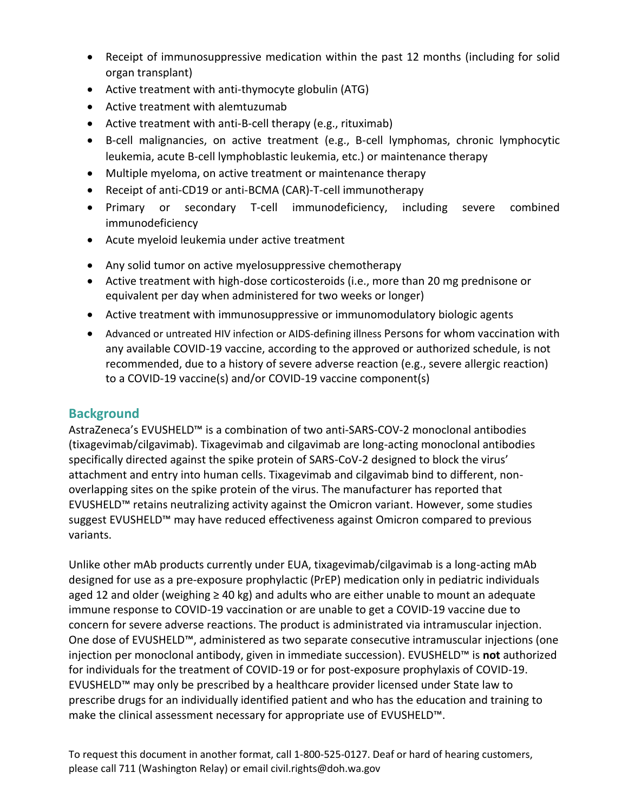- Receipt of immunosuppressive medication within the past 12 months (including for solid organ transplant)
- Active treatment with anti-thymocyte globulin (ATG)
- Active treatment with alemtuzumab
- Active treatment with anti-B-cell therapy (e.g., rituximab)
- B-cell malignancies, on active treatment (e.g., B-cell lymphomas, chronic lymphocytic leukemia, acute B-cell lymphoblastic leukemia, etc.) or maintenance therapy
- Multiple myeloma, on active treatment or maintenance therapy
- Receipt of anti-CD19 or anti-BCMA (CAR)-T-cell immunotherapy
- Primary or secondary T-cell immunodeficiency, including severe combined immunodeficiency
- Acute myeloid leukemia under active treatment
- Any solid tumor on active myelosuppressive chemotherapy
- Active treatment with high-dose corticosteroids (i.e., more than 20 mg prednisone or equivalent per day when administered for two weeks or longer)
- Active treatment with immunosuppressive or immunomodulatory biologic agents
- Advanced or untreated HIV infection or AIDS-defining illness Persons for whom vaccination with any available COVID-19 vaccine, according to the approved or authorized schedule, is not recommended, due to a history of severe adverse reaction (e.g., severe allergic reaction) to a COVID-19 vaccine(s) and/or COVID-19 vaccine component(s)

#### **Background**

AstraZeneca's EVUSHELD™ is a combination of two anti-SARS-COV-2 monoclonal antibodies (tixagevimab/cilgavimab). Tixagevimab and cilgavimab are long-acting monoclonal antibodies specifically directed against the spike protein of SARS-CoV-2 designed to block the virus' attachment and entry into human cells. Tixagevimab and cilgavimab bind to different, nonoverlapping sites on the spike protein of the virus. The manufacturer has reported that EVUSHELD™ retains neutralizing activity against the Omicron variant. However, some studies suggest EVUSHELD™ may have reduced effectiveness against Omicron compared to previous variants.

Unlike other mAb products currently under EUA, tixagevimab/cilgavimab is a long-acting mAb designed for use as a pre-exposure prophylactic (PrEP) medication only in pediatric individuals aged 12 and older (weighing ≥ 40 kg) and adults who are either unable to mount an adequate immune response to COVID-19 vaccination or are unable to get a COVID-19 vaccine due to concern for severe adverse reactions. The product is administrated via intramuscular injection. One dose of EVUSHELD™, administered as two separate consecutive intramuscular injections (one injection per monoclonal antibody, given in immediate succession). EVUSHELD™ is **not** authorized for individuals for the treatment of COVID-19 or for post-exposure prophylaxis of COVID-19. EVUSHELD™ may only be prescribed by a healthcare provider licensed under State law to prescribe drugs for an individually identified patient and who has the education and training to make the clinical assessment necessary for appropriate use of EVUSHELD™.

To request this document in another format, call 1-800-525-0127. Deaf or hard of hearing customers, please call 711 (Washington Relay) or email civil.rights@doh.wa.gov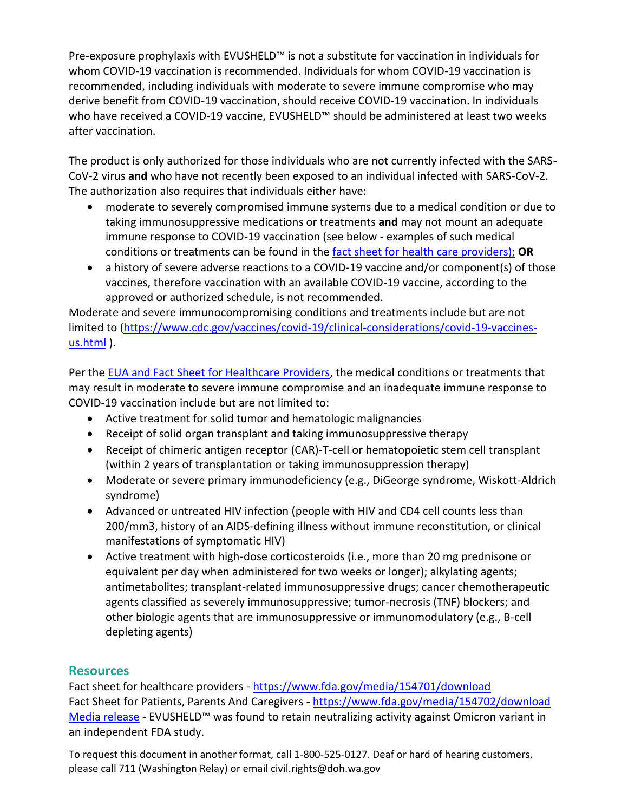Pre-exposure prophylaxis with EVUSHELD™ is not a substitute for vaccination in individuals for whom COVID-19 vaccination is recommended. Individuals for whom COVID-19 vaccination is recommended, including individuals with moderate to severe immune compromise who may derive benefit from COVID-19 vaccination, should receive COVID-19 vaccination. In individuals who have received a COVID-19 vaccine, EVUSHELD™ should be administered at least two weeks after vaccination.

The product is only authorized for those individuals who are not currently infected with the SARS-CoV-2 virus **and** who have not recently been exposed to an individual infected with SARS-CoV-2. The authorization also requires that individuals either have:

- moderate to severely compromised immune systems due to a medical condition or due to taking immunosuppressive medications or treatments **and** may not mount an adequate immune response to COVID-19 vaccination (see below - examples of such medical conditions or treatments can be found in the [fact sheet for health care providers\);](https://www.fda.gov/media/154701/download) **OR**
- a history of severe adverse reactions to a COVID-19 vaccine and/or component(s) of those vaccines, therefore vaccination with an available COVID-19 vaccine, according to the approved or authorized schedule, is not recommended.

Moderate and severe immunocompromising conditions and treatments include but are not limited to [\(https://www.cdc.gov/vaccines/covid-19/clinical-considerations/covid-19-vaccines](https://www.cdc.gov/vaccines/covid-19/clinical-considerations/covid-19-vaccines-us.html)[us.html](https://www.cdc.gov/vaccines/covid-19/clinical-considerations/covid-19-vaccines-us.html) ).

Per the [EUA](https://www.fda.gov/media/154704/download) and [Fact Sheet for Healthcare Providers,](https://www.fda.gov/media/154701/download) the medical conditions or treatments that may result in moderate to severe immune compromise and an inadequate immune response to COVID-19 vaccination include but are not limited to:

- Active treatment for solid tumor and hematologic malignancies
- Receipt of solid organ transplant and taking immunosuppressive therapy
- Receipt of chimeric antigen receptor (CAR)-T-cell or hematopoietic stem cell transplant (within 2 years of transplantation or taking immunosuppression therapy)
- Moderate or severe primary immunodeficiency (e.g., DiGeorge syndrome, Wiskott-Aldrich syndrome)
- Advanced or untreated HIV infection (people with HIV and CD4 cell counts less than 200/mm3, history of an AIDS-defining illness without immune reconstitution, or clinical manifestations of symptomatic HIV)
- Active treatment with high-dose corticosteroids (i.e., more than 20 mg prednisone or equivalent per day when administered for two weeks or longer); alkylating agents; antimetabolites; transplant-related immunosuppressive drugs; cancer chemotherapeutic agents classified as severely immunosuppressive; tumor-necrosis (TNF) blockers; and other biologic agents that are immunosuppressive or immunomodulatory (e.g., B-cell depleting agents)

#### **Resources**

Fact sheet for healthcare providers - <https://www.fda.gov/media/154701/download> Fact Sheet for Patients, Parents And Caregivers - <https://www.fda.gov/media/154702/download> [Media release](https://www.astrazeneca.com/content/astraz/media-centre/press-releases/2021/evusheld-long-acting-antibody-combination-retains-neutralising-activity-against-omicron-variant-in-independent-fda-study.html) - EVUSHELD™ was found to retain neutralizing activity against Omicron variant in an independent FDA study.

To request this document in another format, call 1-800-525-0127. Deaf or hard of hearing customers, please call 711 (Washington Relay) or email civil.rights@doh.wa.gov